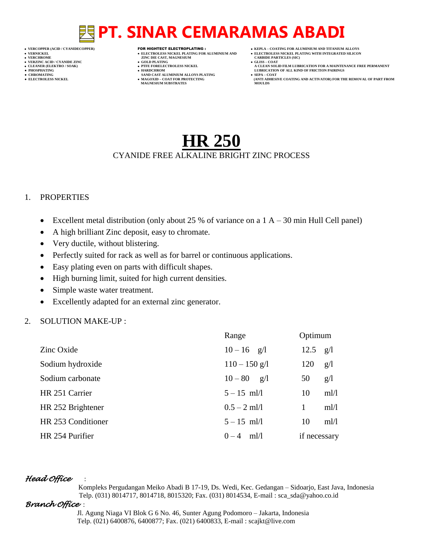- 
- 
- 

- **VERZINC ACID / CYANIDE ZINC GOLD PLATING GLISS – COAT**
- 
- 

- **VERT ASSESSED ASSESSED ASSESSED ASSESSED ASSESSED ASSESSED ASSESSED ASSESSED ASSESSED ASSESSED ASSESSED ASSESSED ASSESSED ASSESSED ASSESSED ASSESSED ASSESSED ASSESSED ASSESSED ASSESSED ASSESSED ASSESSED ASSESSED ASSESSED**
- 
- 
- **● CHROMATING SAND CAST ALUMINIUM ALLOYS PLATING SEPA – COAT MAGNESIUM SUBSTRATES MOULDS**
- **VERCOPPER (ACID / CYANIDECOPPER)** FOR HIGHTECT ELECTROPLATING :  **KEPLA – COATING FOR ALUMINIUM AND TITANIUM ALLOYS**
- **VERNICKEL ELECTROLESS NICKEL PLATING FOR ALUMINIUM AND ELECTROLESS NICKEL PLATING WITH INTEGRATED SILICON**
	-
- **CLEANER (ELEKTRO / SOAK) PTFE FORELECTROLESS NICKEL A CLEAN SOLID FILM LUBRICATION FOR A MAINTENANCE FREE PERMANENT ● PHOSPHATING HARDCHROM LUBRICATION OF ALL KIND OF FRICTION PAIRINGS**
- **● ELECTROLESS NICKEL MAGOXID – COAT FOR PROTECTING (ANTI ADHESIVE COATING AND ACTIVATOR) FOR THE REMOVAL OF PART FROM**

# **HR 250**

### CYANIDE FREE ALKALINE BRIGHT ZINC PROCESS

## 1. PROPERTIES

- Excellent metal distribution (only about 25 % of variance on a  $1 A 30$  min Hull Cell panel)
- A high brilliant Zinc deposit, easy to chromate.
- Very ductile, without blistering.
- Perfectly suited for rack as well as for barrel or continuous applications.
- Easy plating even on parts with difficult shapes.
- High burning limit, suited for high current densities.
- Simple waste water treatment.
- Excellently adapted for an external zinc generator.

# 2. SOLUTION MAKE-UP :

|                    | Range           | Optimum      |      |
|--------------------|-----------------|--------------|------|
| Zinc Oxide         | $10 - 16$ g/l   | 12.5         | g/l  |
| Sodium hydroxide   | $110 - 150$ g/l | 120          | g/l  |
| Sodium carbonate   | $10 - 80$ g/l   | 50           | g/l  |
| HR 251 Carrier     | $5 - 15$ ml/l   | 10           | ml/l |
| HR 252 Brightener  | $0.5 - 2$ ml/l  | $\mathbf{1}$ | ml/l |
| HR 253 Conditioner | $5 - 15$ ml/l   | 10           | ml/l |
| HR 254 Purifier    | $0-4$ ml/l      | if necessary |      |

# *Head Office* :

 Kompleks Pergudangan Meiko Abadi B 17-19, Ds. Wedi, Kec. Gedangan – Sidoarjo, East Java, Indonesia Telp. (031) 8014717, 8014718, 8015320; Fax. (031) 8014534, E-mail : sca\_sda@yahoo.co.id

# *Branch Office* :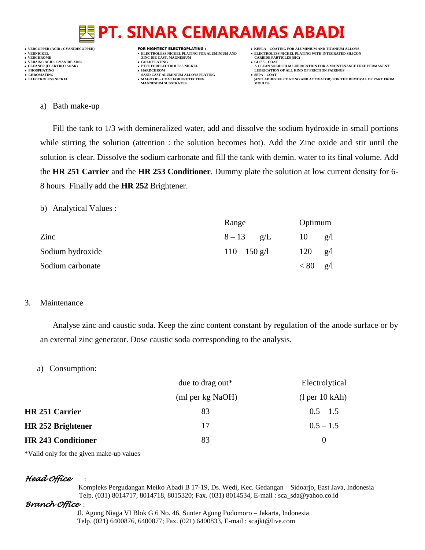

**VERT ASSESSED ASSESSED ASSESSED ASSESSED ASSESSED ASSESSED ASSESSED ASSESSED ASSESSED ASSESSED ASSESSED ASSESSED ASSESSED ASSESSED ASSESSED ASSESSED ASSESSED ASSESSED ASSESSED ASSESSED ASSESSED ASSESSED ASSESSED ASSESSED** 

- 
- 
- **MAGNESIUM SUBSTRATES**
- **VERCOPPER (ACID / CYANIDECOPPER)** FOR HIGHTECT ELECTROPLATING :  **KEPLA – COATING FOR ALUMINIUM AND TITANIUM ALLOYS**
	- -
	-
	- **ELECTROLESS AND ACTIVATOR) FOR THE REMOVAL OF PART FROM (ANTI ADHESIVE COATING AND ACTIVATOR) FOR THE REMOVAL OF PART FROM**

#### a) Bath make-up

Fill the tank to 1/3 with demineralized water, add and dissolve the sodium hydroxide in small portions while stirring the solution (attention : the solution becomes hot). Add the Zinc oxide and stir until the solution is clear. Dissolve the sodium carbonate and fill the tank with demin. water to its final volume. Add the **HR 251 Carrier** and the **HR 253 Conditioner**. Dummy plate the solution at low current density for 6- 8 hours. Finally add the **HR 252** Brightener.

b) Analytical Values :

|                  | Range           |  | Optimum |     |
|------------------|-----------------|--|---------|-----|
| Zinc             | $8 - 13$ g/L    |  | 10      | g/I |
| Sodium hydroxide | $110 - 150$ g/l |  | 120     | g/I |
| Sodium carbonate |                 |  | < 80    | g/l |

#### 3. Maintenance

Analyse zinc and caustic soda. Keep the zinc content constant by regulation of the anode surface or by an external zinc generator. Dose caustic soda corresponding to the analysis.

a) Consumption:

| due to drag out $*$ | Electrolytical                        |
|---------------------|---------------------------------------|
| (ml per kg NaOH)    | (1 <sub>per</sub> 10 <sub>k</sub> Ah) |
| 83                  | $0.5 - 1.5$                           |
| 17                  | $0.5 - 1.5$                           |
| 83                  | $\theta$                              |
|                     |                                       |

\*Valid only for the given make-up values

### *Head Office* :

 Kompleks Pergudangan Meiko Abadi B 17-19, Ds. Wedi, Kec. Gedangan – Sidoarjo, East Java, Indonesia Telp. (031) 8014717, 8014718, 8015320; Fax. (031) 8014534, E-mail : sca\_sda@yahoo.co.id

### *Branch Office* :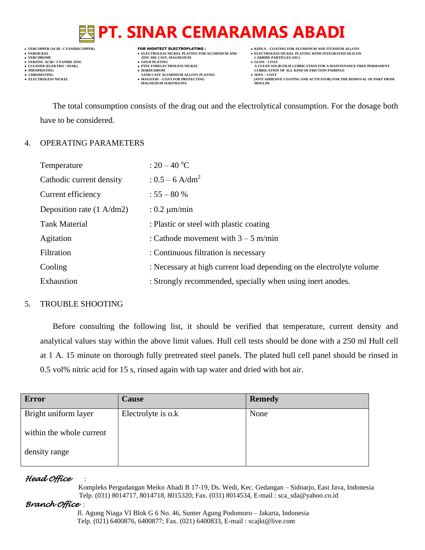# **VERT ASSESSED ASSESSED ASSESSED ASSESSED ASSESSED ASSESSED ASSESSED ASSESSED ASSESSED ASSESSED ASSESSED ASSESSED ASSESSED ASSESSED ASSESSED ASSESSED ASSESSED ASSESSED ASSESSED ASSESSED ASSESSED ASSESSED ASSESSED ASSESSED**

- **VERZINC ACID / CYANIDE ZINC GOLD PLATING GLISS – COAT**
	-
- **● CHROMATING SAND CAST ALUMINIUM ALLOYS PLATING SEPA – COAT MAGNESIUM SUBSTRATES**
- **VERCOPPER (ACID / CYANIDECOPPER)** FOR HIGHTECT ELECTROPLATING :  **KEPLA – COATING FOR ALUMINIUM AND TITANIUM ALLOYS**
- **VERNICKEL ELECTROLESS NICKEL PLATING FOR ALUMINIUM AND ELECTROLESS NICKEL PLATING WITH INTEGRATED SILICON**
	-
- **CLEANER (ELEKTRO / SOAK) PTFE FORELECTROLESS NICKEL A CLEAN SOLID FILM LUBRICATION FOR A MAINTENANCE FREE PERMANENT ● PHOSPHATING HARDCHROM LUBRICATION OF ALL KIND OF FRICTION PAIRINGS** 
	- **ELECTROLESS AND ACTIVATOR) FOR THE REMOVAL OF PART FROM (ANTI ADHESIVE COATING AND ACTIVATOR) FOR THE REMOVAL OF PART FROM**

The total consumption consists of the drag out and the electrolytical consumption. For the dosage both have to be considered.

# 4. OPERATING PARAMETERS

| Temperature                         | : $20 - 40$ °C                                                       |
|-------------------------------------|----------------------------------------------------------------------|
| Cathodic current density            | : $0.5 - 6$ A/dm <sup>2</sup>                                        |
| Current efficiency                  | $: 55 - 80 %$                                                        |
| Deposition rate $(1 \text{ A/dm2})$ | : $0.2 \mu m/min$                                                    |
| <b>Tank Material</b>                | : Plastic or steel with plastic coating                              |
| Agitation                           | : Cathode movement with $3 - 5$ m/min                                |
| Filtration                          | : Continuous filtration is necessary                                 |
| Cooling                             | : Necessary at high current load depending on the electrolyte volume |
| Exhaustion                          | : Strongly recommended, specially when using inert anodes.           |

# 5. TROUBLE SHOOTING

Before consulting the following list, it should be verified that temperature, current density and analytical values stay within the above limit values. Hull cell tests should be done with a 250 ml Hull cell at 1 A. 15 minute on thorough fully pretreated steel panels. The plated hull cell panel should be rinsed in 0.5 vol% nitric acid for 15 s, rinsed again with tap water and dried with hot air.

| <b>Error</b>             | <b>Cause</b>       | <b>Remedy</b> |
|--------------------------|--------------------|---------------|
| Bright uniform layer     | Electrolyte is o.k | None          |
| within the whole current |                    |               |
| density range            |                    |               |

# *Head Office* :

 Kompleks Pergudangan Meiko Abadi B 17-19, Ds. Wedi, Kec. Gedangan – Sidoarjo, East Java, Indonesia Telp. (031) 8014717, 8014718, 8015320; Fax. (031) 8014534, E-mail : sca\_sda@yahoo.co.id

# *Branch Office* :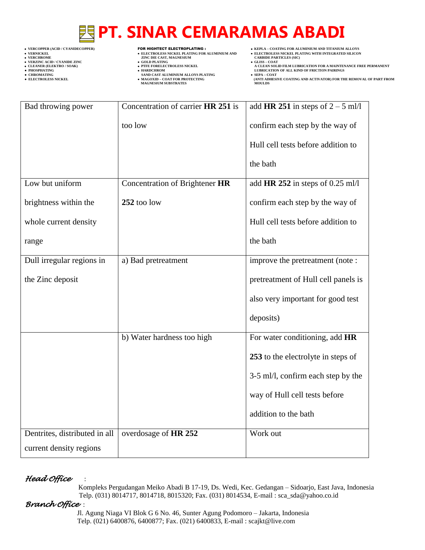- 
- 
- 

- **VERCHROLES NICKEL PLATING FOR ALUMINIUM AND**<br> **VELECTROLES NICKEL PLATING FOR ALUMINIUM AND**<br> **VERCHROLES (SILD)**<br> **CARBIDE PARTING**<br> **CARBIDE PARTING**
- **v GOLD PLATING**<br>**• PTFE FORELECTROLESS NICKEL**
- 
- **PHOSPHATING HARDCHROM LUBRICATION OF ALL KIND OF FRICTION PAIRINGS ● CHROMATING SAND CAST ALUMINIUM ALLOYS PLATING SEPA – COAT MAGNESIUM SUBSTRATES MOULDS**
- **VERCOPPER (ACID / CYANIDECOPPER)** FOR HIGHTECT ELECTROPLATING :  **KEPLA – COATING FOR ALUMINIUM AND TITANIUM ALLOYS**
	-
	-
- **VERNICKEL ELECTROLESS NICKEL PLATING FOR ALUMINIUM AND ELECTROLESS NICKEL PLATING WITH INTEGRATED SILICON** • CLEANER (ELEKTRO / SOAK)<br>
■ PTFE FORELECTROLESS NICKEL A CLEAN SOLID FILM LUBRICATION FOR A MAINTENANCE FREE PERMANENT<br>
■ PTFE FORELECTROLESS NICKEL A CLEAN SOLID FILM LUBRICATION OF ALL KIND OF FRICTION PAIRINGS<br>
■ PT
	- **• SEPA COAT**<br> **•** SEPA COAT FOR COATING AND ACTIVATOR) FOR THE REMOVAL OF PART FROM MOULDS

| Bad throwing power            | Concentration of carrier HR 251 is | add HR 251 in steps of $2 - 5$ ml/l |  |
|-------------------------------|------------------------------------|-------------------------------------|--|
|                               | too low                            | confirm each step by the way of     |  |
|                               |                                    | Hull cell tests before addition to  |  |
|                               |                                    | the bath                            |  |
| Low but uniform               | Concentration of Brightener HR     | add HR 252 in steps of 0.25 ml/l    |  |
| brightness within the         | 252 too low                        | confirm each step by the way of     |  |
| whole current density         |                                    | Hull cell tests before addition to  |  |
| range                         |                                    | the bath                            |  |
| Dull irregular regions in     | a) Bad pretreatment                | improve the pretreatment (note:     |  |
| the Zinc deposit              |                                    | pretreatment of Hull cell panels is |  |
|                               |                                    | also very important for good test   |  |
|                               |                                    | deposits)                           |  |
|                               | b) Water hardness too high         | For water conditioning, add HR      |  |
|                               |                                    | 253 to the electrolyte in steps of  |  |
|                               |                                    | 3-5 ml/l, confirm each step by the  |  |
|                               |                                    | way of Hull cell tests before       |  |
|                               |                                    | addition to the bath                |  |
| Dentrites, distributed in all | overdosage of HR 252               | Work out                            |  |
| current density regions       |                                    |                                     |  |

### *Head Office* :

 Kompleks Pergudangan Meiko Abadi B 17-19, Ds. Wedi, Kec. Gedangan – Sidoarjo, East Java, Indonesia Telp. (031) 8014717, 8014718, 8015320; Fax. (031) 8014534, E-mail : sca\_sda@yahoo.co.id

### *Branch Office* :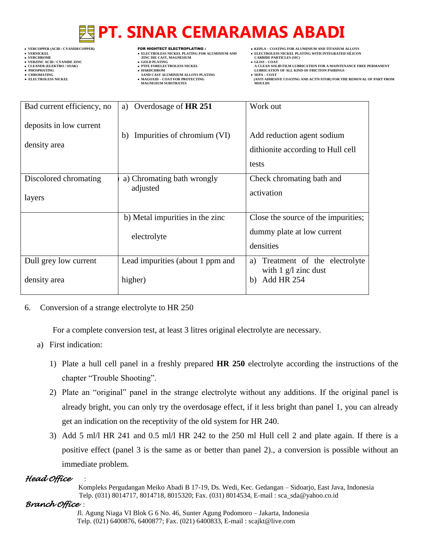- 
- 

- **VERFORM ZINC DIE CAST, MAGNESIUM CARBIDE PARTICLES (SIC)**<br> **CARBIDE PARTING**
- **VERZINC ACID / CYANIDE ZINC GOLD PLATING GLISS – COAT**
	-
- **● CHROMATING SAND CAST ALUMINIUM ALLOYS PLATING SEPA – COAT • MAGOXID – COAT FOR PROTECTING<br>MAGNESIUM SUBSTRATES**
- **VERCOPPER (ACID / CYANIDECOPPER)** FOR HIGHTECT ELECTROPLATING :  **KEPLA – COATING FOR ALUMINIUM AND TITANIUM ALLOYS**
- **VERNICKEL ELECTROLESS NICKEL PLATING FOR ALUMINIUM AND ELECTROLESS NICKEL PLATING WITH INTEGRATED SILICON**
	-
- **CLEANER (ELEKTRO / SOAK) PTFE FORELECTROLESS NICKEL A CLEAN SOLID FILM LUBRICATION FOR A MAINTENANCE FREE PERMANENT ● PHOSPHATING HARDCHROM LUBRICATION OF ALL KIND OF FRICTION PAIRINGS** 
	- **ELECTROLESS AND ACTIVATOR) FOR THE REMOVAL OF PART FROM (ANTI ADHESIVE COATING AND ACTIVATOR) FOR THE REMOVAL OF PART FROM**

| Bad current efficiency, no              | a) Overdosage of HR 251           | Work out                                                                 |
|-----------------------------------------|-----------------------------------|--------------------------------------------------------------------------|
| deposits in low current<br>density area | Impurities of chromium (VI)<br>b) | Add reduction agent sodium<br>dithionite according to Hull cell<br>tests |
| Discolored chromating                   | a) Chromating bath wrongly        | Check chromating bath and                                                |
| layers                                  | adjusted                          | activation                                                               |
|                                         | b) Metal impurities in the zinc   | Close the source of the impurities;                                      |
|                                         | electrolyte                       | dummy plate at low current<br>densities                                  |
| Dull grey low current                   | Lead impurities (about 1 ppm and  | Treatment of the electrolyte<br>a)<br>with $1 \text{ g}/l$ zinc dust     |
| density area                            | higher)                           | <b>Add HR 254</b><br>b)                                                  |

### 6. Conversion of a strange electrolyte to HR 250

For a complete conversion test, at least 3 litres original electrolyte are necessary.

- a) First indication:
	- 1) Plate a hull cell panel in a freshly prepared **HR 250** electrolyte according the instructions of the chapter "Trouble Shooting".
	- 2) Plate an "original" panel in the strange electrolyte without any additions. If the original panel is already bright, you can only try the overdosage effect, if it less bright than panel 1, you can already get an indication on the receptivity of the old system for HR 240.
	- 3) Add 5 ml/l HR 241 and 0.5 ml/l HR 242 to the 250 ml Hull cell 2 and plate again. If there is a positive effect (panel 3 is the same as or better than panel 2)., a conversion is possible without an immediate problem.

# *Head Office* :

 Kompleks Pergudangan Meiko Abadi B 17-19, Ds. Wedi, Kec. Gedangan – Sidoarjo, East Java, Indonesia Telp. (031) 8014717, 8014718, 8015320; Fax. (031) 8014534, E-mail : sca\_sda@yahoo.co.id

*Branch Office* :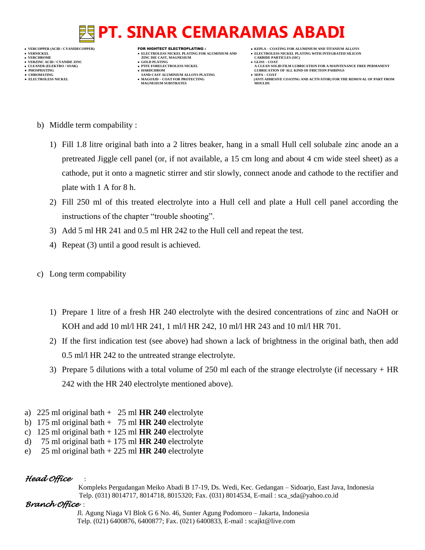

- **VERFORM ZINC DIE CAST, MAGNESIUM CARBIDE PARTICLES (SIC)**<br> **CARBIDE PARTING**
- **VERZINC ACID / CYANIDE ZINC GOLD PLATING GLISS – COAT**
	-
- **● CHROMATING SAND CAST ALUMINIUM ALLOYS PLATING SEPA – COAT MAGNESIUM SUBSTRATES**
- 
- 
- 
- CLEANER (ELEKTRO / SOAK)<br>● CLEANER (ELEKTRO / SOAK)<br>● PHOSPHATING<br>● HOSPHATING **● PHOSPHATING HARDCHROM LUBRICATION OF ALL KIND OF FRICTION PAIRINGS** 
	- **ELECTROLESS AND ACTIVATOR) FOR THE REMOVAL OF PART FROM (ANTI ADHESIVE COATING AND ACTIVATOR) FOR THE REMOVAL OF PART FROM**

- b) Middle term compability :
	- 1) Fill 1.8 litre original bath into a 2 litres beaker, hang in a small Hull cell solubale zinc anode an a pretreated Jiggle cell panel (or, if not available, a 15 cm long and about 4 cm wide steel sheet) as a cathode, put it onto a magnetic stirrer and stir slowly, connect anode and cathode to the rectifier and plate with 1 A for 8 h.
	- 2) Fill 250 ml of this treated electrolyte into a Hull cell and plate a Hull cell panel according the instructions of the chapter "trouble shooting".
	- 3) Add 5 ml HR 241 and 0.5 ml HR 242 to the Hull cell and repeat the test.
	- 4) Repeat (3) until a good result is achieved.
- c) Long term compability
	- 1) Prepare 1 litre of a fresh HR 240 electrolyte with the desired concentrations of zinc and NaOH or KOH and add 10 ml/l HR 241, 1 ml/l HR 242, 10 ml/l HR 243 and 10 ml/l HR 701.
	- 2) If the first indication test (see above) had shown a lack of brightness in the original bath, then add 0.5 ml/l HR 242 to the untreated strange electrolyte.
	- 3) Prepare 5 dilutions with a total volume of 250 ml each of the strange electrolyte (if necessary + HR 242 with the HR 240 electrolyte mentioned above).
- a) 225 ml original bath + 25 ml **HR 240** electrolyte
- b) 175 ml original bath + 75 ml **HR 240** electrolyte
- c) 125 ml original bath + 125 ml **HR 240** electrolyte
- d) 75 ml original bath + 175 ml **HR 240** electrolyte
- e) 25 ml original bath + 225 ml **HR 240** electrolyte

# *Head Office* :

 Kompleks Pergudangan Meiko Abadi B 17-19, Ds. Wedi, Kec. Gedangan – Sidoarjo, East Java, Indonesia Telp. (031) 8014717, 8014718, 8015320; Fax. (031) 8014534, E-mail : sca\_sda@yahoo.co.id

# *Branch Office* :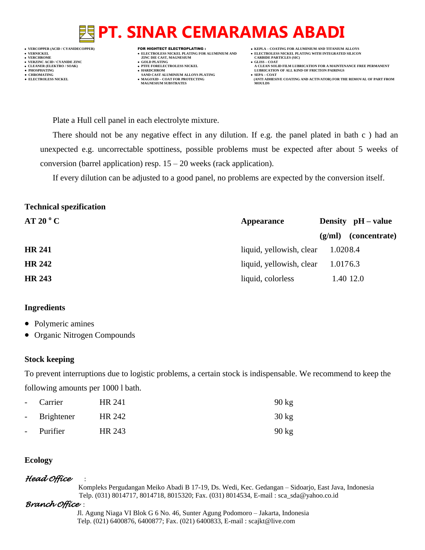**VERNICKEL ELECTROLESS NICKEL PLATING FOR ALUMINIUM AND ELECTROLESS NICKEL PLATING WITH INTEGRATED SILICON VERZINC ACID / CYANIDE ZINC GOLD PLATING GLISS – COAT ● PHOSPHATING HARDCHROM LUBRICATION OF ALL KIND OF FRICTION PAIRINGS** 

- **VERT ASSESSED ASSESSED ASSESSED ASSESSED ASSESSED ASSESSED ASSESSED ASSESSED ASSESSED ASSESSED ASSESSED ASSESSED ASSESSED ASSESSED ASSESSED ASSESSED ASSESSED ASSESSED ASSESSED ASSESSED ASSESSED ASSESSED ASSESSED ASSESSED**
- 
- **● CHROMATING SAND CAST ALUMINIUM ALLOYS PLATING SEPA – COAT MAGNESIUM SUBSTRATES MOULDS**
- **VERCOPPER (ACID / CYANIDECOPPER)** FOR HIGHTECT ELECTROPLATING :  **KEPLA – COATING FOR ALUMINIUM AND TITANIUM ALLOYS**
	-
- **CLEANER (ELEKTRO / SOAK) PTFE FORELECTROLESS NICKEL A CLEAN SOLID FILM LUBRICATION FOR A MAINTENANCE FREE PERMANENT**
- **● ELECTROLESS NICKEL MAGOXID – COAT FOR PROTECTING (ANTI ADHESIVE COATING AND ACTIVATOR) FOR THE REMOVAL OF PART FROM**

Plate a Hull cell panel in each electrolyte mixture.

There should not be any negative effect in any dilution. If e.g. the panel plated in bath c ) had an unexpected e.g. uncorrectable spottiness, possible problems must be expected after about 5 weeks of conversion (barrel application) resp.  $15 - 20$  weeks (rack application).

If every dilution can be adjusted to a good panel, no problems are expected by the conversion itself.

## **Technical spezification**

| AT 20 °C      | <b>Appearance</b>        | Density $pH - value$    |
|---------------|--------------------------|-------------------------|
|               |                          | (concentrate)<br>(g/ml) |
| <b>HR 241</b> | liquid, yellowish, clear | 1.0208.4                |
| <b>HR 242</b> | liquid, yellowish, clear | 1.0176.3                |
| <b>HR 243</b> | liquid, colorless        | 1.40 12.0               |

### **Ingredients**

- Polymeric amines
- Organic Nitrogen Compounds

### **Stock keeping**

To prevent interruptions due to logistic problems, a certain stock is indispensable. We recommend to keep the following amounts per 1000 l bath.

| - Carrier    | HR 241 | $90 \text{ kg}$ |
|--------------|--------|-----------------|
| - Brightener | HR 242 | $30 \text{ kg}$ |
| - Purifier   | HR 243 | $90$ kg         |

### **Ecology**

# *Head Office* :

 Kompleks Pergudangan Meiko Abadi B 17-19, Ds. Wedi, Kec. Gedangan – Sidoarjo, East Java, Indonesia Telp. (031) 8014717, 8014718, 8015320; Fax. (031) 8014534, E-mail : sca\_sda@yahoo.co.id

# *Branch Office* :